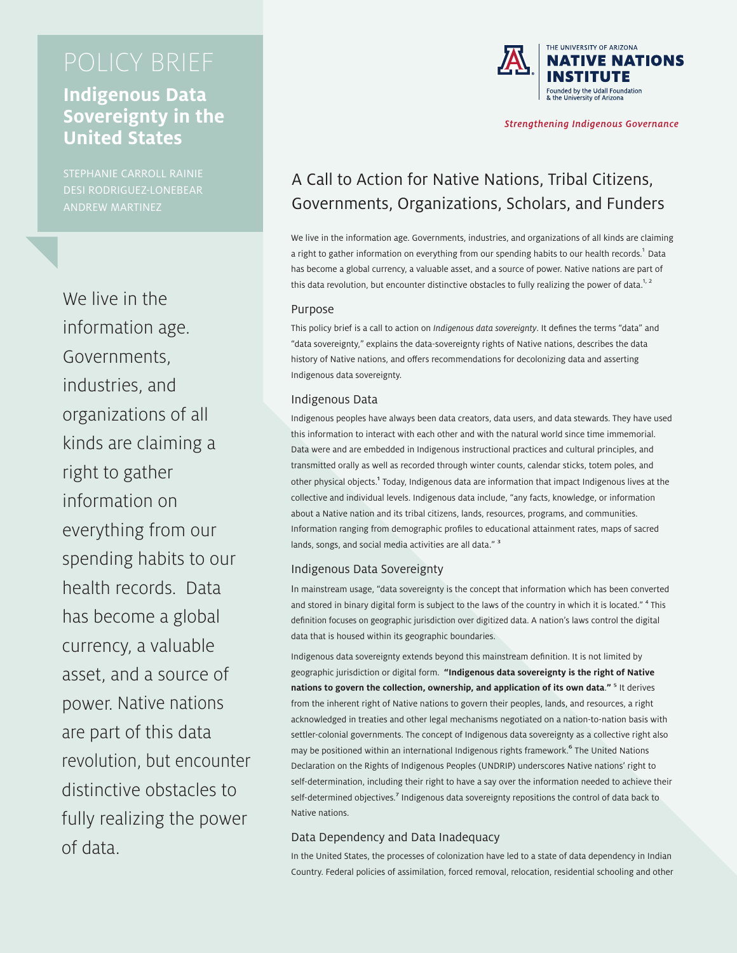## **Indigenous Data Sovereignty in the United States**

STEPHANIE CARROLL RAINIE DESI RODRIGUEZ-LONEBEAR ANDREW MARTINEZ

We live in the information age. Governments, industries, and organizations of all kinds are claiming a right to gather information on everything from our spending habits to our health records. Data has become a global currency, a valuable asset, and a source of power. Native nations are part of this data revolution, but encounter distinctive obstacles to fully realizing the power of data.



**Strengthening Indigenous Governance** 

# A Call to Action for Native Nations, Tribal Citizens, Governments, Organizations, Scholars, and Funders

We live in the information age. Governments, industries, and organizations of all kinds are claiming a right to gather information on everything from our spending habits to our health records.<sup>1</sup> Data has become a global currency, a valuable asset, and a source of power. Native nations are part of this data revolution, but encounter distinctive obstacles to fully realizing the power of data.<sup>1, 2</sup>

#### Purpose

This policy brief is a call to action on *Indigenous data sovereignty*. It defines the terms "data" and "data sovereignty," explains the data-sovereignty rights of Native nations, describes the data history of Native nations, and offers recommendations for decolonizing data and asserting Indigenous data sovereignty.

#### Indigenous Data

Indigenous peoples have always been data creators, data users, and data stewards. They have used this information to interact with each other and with the natural world since time immemorial. Data were and are embedded in Indigenous instructional practices and cultural principles, and transmitted orally as well as recorded through winter counts, calendar sticks, totem poles, and other physical objects.<sup>1</sup> Today, Indigenous data are information that impact Indigenous lives at the collective and individual levels. Indigenous data include, "any facts, knowledge, or information about a Native nation and its tribal citizens, lands, resources, programs, and communities. Information ranging from demographic profiles to educational attainment rates, maps of sacred lands, songs, and social media activities are all data."<sup>3</sup>

### Indigenous Data Sovereignty

In mainstream usage, "data sovereignty is the concept that information which has been converted and stored in binary digital form is subject to the laws of the country in which it is located."<sup>4</sup> This definition focuses on geographic jurisdiction over digitized data. A nation's laws control the digital data that is housed within its geographic boundaries.

Indigenous data sovereignty extends beyond this mainstream definition. It is not limited by geographic jurisdiction or digital form. **"Indigenous data sovereignty is the right of Native nations to govern the collection, ownership, and application of its own data." <sup>5</sup> It derives** from the inherent right of Native nations to govern their peoples, lands, and resources, a right acknowledged in treaties and other legal mechanisms negotiated on a nation-to-nation basis with settler-colonial governments. The concept of Indigenous data sovereignty as a collective right also may be positioned within an international Indigenous rights framework.<sup>6</sup> The United Nations Declaration on the Rights of Indigenous Peoples (UNDRIP) underscores Native nations' right to self-determination, including their right to have a say over the information needed to achieve their self-determined objectives.<sup>7</sup> Indigenous data sovereignty repositions the control of data back to Native nations.

#### Data Dependency and Data Inadequacy

In the United States, the processes of colonization have led to a state of data dependency in Indian Country. Federal policies of assimilation, forced removal, relocation, residential schooling and other